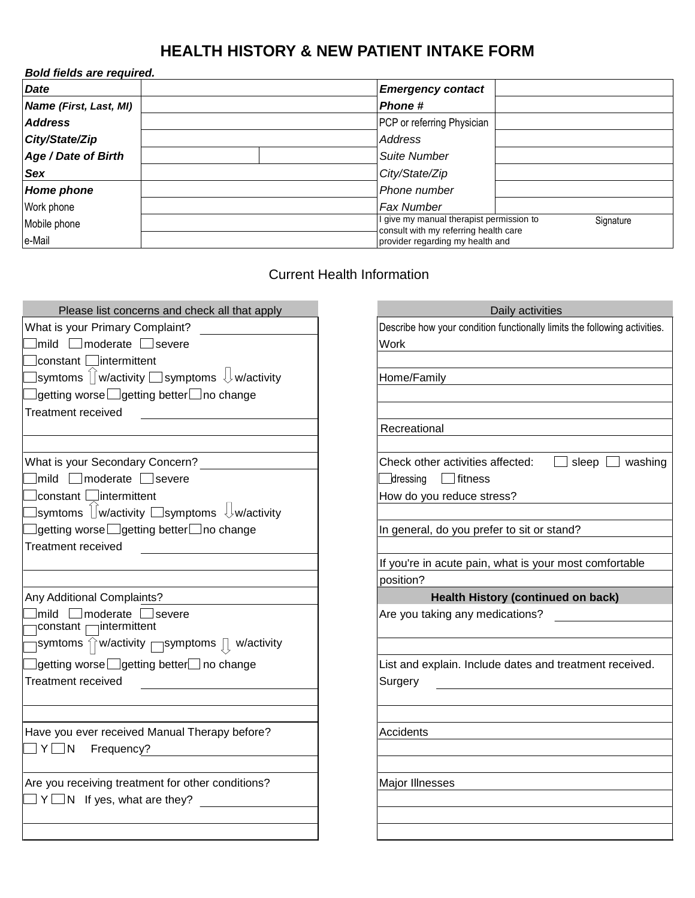## **HEALTH HISTORY & NEW PATIENT INTAKE FORM**

| Bold fields are required. |                                                                                                |  |  |  |  |  |  |  |  |
|---------------------------|------------------------------------------------------------------------------------------------|--|--|--|--|--|--|--|--|
| <b>Date</b>               | <b>Emergency contact</b>                                                                       |  |  |  |  |  |  |  |  |
| Name (First, Last, MI)    | <b>Phone #</b>                                                                                 |  |  |  |  |  |  |  |  |
| <b>Address</b>            | PCP or referring Physician                                                                     |  |  |  |  |  |  |  |  |
| City/State/Zip            | Address                                                                                        |  |  |  |  |  |  |  |  |
| Age / Date of Birth       | <b>Suite Number</b>                                                                            |  |  |  |  |  |  |  |  |
| <b>Sex</b>                | City/State/Zip                                                                                 |  |  |  |  |  |  |  |  |
| <b>Home phone</b>         | Phone number                                                                                   |  |  |  |  |  |  |  |  |
| Work phone                | Fax Number                                                                                     |  |  |  |  |  |  |  |  |
| Mobile phone              | I give my manual therapist permission to<br>Signature<br>consult with my referring health care |  |  |  |  |  |  |  |  |
| e-Mail                    | provider regarding my health and                                                               |  |  |  |  |  |  |  |  |

## Current Health Information

| Please list concerns and check all that apply                                                                                                                                                                                      | Daily activities                                                          |  |  |  |  |
|------------------------------------------------------------------------------------------------------------------------------------------------------------------------------------------------------------------------------------|---------------------------------------------------------------------------|--|--|--|--|
| What is your Primary Complaint?                                                                                                                                                                                                    | Describe how your condition functionally limits the following activities. |  |  |  |  |
| $\boxed{\hspace{1pt}}$ mild $\boxed{\hspace{1pt}}$ moderate $\boxed{\hspace{1pt}}$ severe                                                                                                                                          | Work                                                                      |  |  |  |  |
| constant □intermittent                                                                                                                                                                                                             |                                                                           |  |  |  |  |
| $\exists$ symtoms $\hat{\mathcal{a}}$ w/activity $\Box$ symptoms $\mathcal{\mathcal{b}}$ w/activity                                                                                                                                | Home/Family                                                               |  |  |  |  |
| ]getting worse $\Box$ getting better $\Box$ no change                                                                                                                                                                              |                                                                           |  |  |  |  |
| Treatment received <b>Figure 10</b> and the set of the set of the set of the set of the set of the set of the set of the set of the set of the set of the set of the set of the set of the set of the set of the set of the set of |                                                                           |  |  |  |  |
|                                                                                                                                                                                                                                    | Recreational                                                              |  |  |  |  |
|                                                                                                                                                                                                                                    |                                                                           |  |  |  |  |
| What is your Secondary Concern?                                                                                                                                                                                                    | Check other activities affected:<br>$\Box$ sleep $\Box$ washing           |  |  |  |  |
| $\Box$ mild $\Box$ moderate $\Box$ severe                                                                                                                                                                                          | $\Box$ dressing $\Box$ fitness                                            |  |  |  |  |
| constant □intermittent                                                                                                                                                                                                             | How do you reduce stress?                                                 |  |  |  |  |
|                                                                                                                                                                                                                                    |                                                                           |  |  |  |  |
| $\exists$ getting worse $\Box$ getting better $\Box$ no change                                                                                                                                                                     | In general, do you prefer to sit or stand?                                |  |  |  |  |
|                                                                                                                                                                                                                                    |                                                                           |  |  |  |  |
|                                                                                                                                                                                                                                    | If you're in acute pain, what is your most comfortable                    |  |  |  |  |
|                                                                                                                                                                                                                                    | position?                                                                 |  |  |  |  |
| Any Additional Complaints?                                                                                                                                                                                                         | <b>Health History (continued on back)</b>                                 |  |  |  |  |
| $\lfloor$ mild $\lfloor$ moderate $\lfloor$ severe                                                                                                                                                                                 | Are you taking any medications?                                           |  |  |  |  |
| constant <sub>□</sub> intermittent                                                                                                                                                                                                 |                                                                           |  |  |  |  |
| $\lceil$ symtoms $\textcolor{black}{\hat{\cap}}$ w/activity $\fceil$ symptoms $\textcolor{black}{\bar{\mathbb{J}}}$ w/activity                                                                                                     |                                                                           |  |  |  |  |
| ]getting worse $\Box$ getting better $\Box$ no change                                                                                                                                                                              | List and explain. Include dates and treatment received.                   |  |  |  |  |
| Treatment received<br><u> 1990 - Jan Barat, prima prima prima prima prima prima prima prima prima prima prima prima prima prima prima p</u>                                                                                        | Surgery                                                                   |  |  |  |  |
|                                                                                                                                                                                                                                    |                                                                           |  |  |  |  |
|                                                                                                                                                                                                                                    |                                                                           |  |  |  |  |
| Have you ever received Manual Therapy before?                                                                                                                                                                                      | <b>Accidents</b>                                                          |  |  |  |  |
| $\Box$ Y $\Box$ N Frequency?                                                                                                                                                                                                       |                                                                           |  |  |  |  |
|                                                                                                                                                                                                                                    |                                                                           |  |  |  |  |
| Are you receiving treatment for other conditions?                                                                                                                                                                                  | Major Illnesses                                                           |  |  |  |  |
| $\Box$ Y $\Box$ N If yes, what are they? $\Box$                                                                                                                                                                                    |                                                                           |  |  |  |  |
|                                                                                                                                                                                                                                    |                                                                           |  |  |  |  |
|                                                                                                                                                                                                                                    |                                                                           |  |  |  |  |

| Daily activities                                                          |  |  |  |  |  |  |  |
|---------------------------------------------------------------------------|--|--|--|--|--|--|--|
| Describe how your condition functionally limits the following activities. |  |  |  |  |  |  |  |
| Work                                                                      |  |  |  |  |  |  |  |
|                                                                           |  |  |  |  |  |  |  |
| Home/Family                                                               |  |  |  |  |  |  |  |
|                                                                           |  |  |  |  |  |  |  |
|                                                                           |  |  |  |  |  |  |  |
| Recreational                                                              |  |  |  |  |  |  |  |
|                                                                           |  |  |  |  |  |  |  |
| Check other activities affected: $\Box$ sleep $\Box$ washing              |  |  |  |  |  |  |  |
| dressing fitness                                                          |  |  |  |  |  |  |  |
| How do you reduce stress?                                                 |  |  |  |  |  |  |  |
|                                                                           |  |  |  |  |  |  |  |
| In general, do you prefer to sit or stand?                                |  |  |  |  |  |  |  |
|                                                                           |  |  |  |  |  |  |  |
| If you're in acute pain, what is your most comfortable                    |  |  |  |  |  |  |  |
| position?                                                                 |  |  |  |  |  |  |  |
|                                                                           |  |  |  |  |  |  |  |
| <b>Health History (continued on back)</b>                                 |  |  |  |  |  |  |  |
| Are you taking any medications?                                           |  |  |  |  |  |  |  |
|                                                                           |  |  |  |  |  |  |  |
|                                                                           |  |  |  |  |  |  |  |
| List and explain. Include dates and treatment received.                   |  |  |  |  |  |  |  |
|                                                                           |  |  |  |  |  |  |  |
| Surgery                                                                   |  |  |  |  |  |  |  |
|                                                                           |  |  |  |  |  |  |  |
|                                                                           |  |  |  |  |  |  |  |
| Accidents                                                                 |  |  |  |  |  |  |  |
|                                                                           |  |  |  |  |  |  |  |
|                                                                           |  |  |  |  |  |  |  |
| Major Illnesses                                                           |  |  |  |  |  |  |  |
|                                                                           |  |  |  |  |  |  |  |
|                                                                           |  |  |  |  |  |  |  |